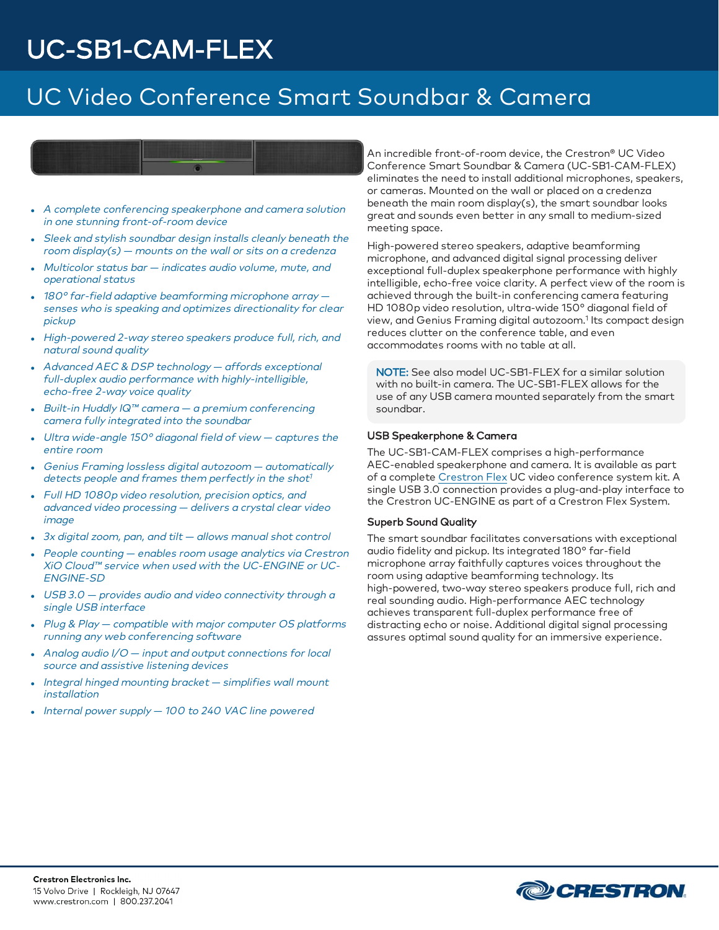### UC Video Conference Smart Soundbar & Camera



- A complete conferencing speakerphone and camera solution in one stunning front-of-room device
- Sleek and stylish soundbar design installs cleanly beneath the room display $(s)$  – mounts on the wall or sits on a credenza
- $\bullet$  Multicolor status bar  $-$  indicates audio volume, mute, and operational status
- 180° far-field adaptive beamforming microphone array senses who is speaking and optimizes directionality for clear pickup
- High-powered 2-way stereo speakers produce full, rich, and natural sound quality
- Advanced AEC & DSP technology affords exceptional full-duplex audio performance with highly-intelligible, echo-free 2-way voice quality
- Built-in Huddly IQ™ camera a premium conferencing camera fully integrated into the soundbar
- Ultra wide-angle 150° diagonal field of view  $-$  captures the entire room
- Genius Framing lossless digital autozoom automatically detects people and frames them perfectly in the shot 1
- Full HD 1080p video resolution, precision optics, and advanced video processing — delivers <sup>a</sup> crystal clear video image
- $\cdot$  3x digital zoom, pan, and tilt  $-$  allows manual shot control
- People counting enables room usage analytics via Crestron XiO Cloud™ service when used with the UC-ENGINE or UC-ENGINE-SD
- $\cdot$  USB 3.0 provides audio and video connectivity through a single USB interface
- Plug & Play compatible with major computer OS platforms running any web conferencing software
- Analog audio  $1/O$  input and output connections for local source and assistive listening devices
- Integral hinged mounting bracket  $-$  simplifies wall mount installation
- $\bullet$  Internal power supply  $-$  100 to 240 VAC line powered

An incredible front-of-room device, the Crestron® UC Video Conference Smart Soundbar & Camera (UC-SB1-CAM-FLEX) eliminates the need to install additional microphones, speakers, or cameras. Mounted on the wall or placed on a credenza beneath the main room display(s), the smart soundbar looks great and sounds even better in any small to medium-sized meeting space.

High-powered stereo speakers, adaptive beamforming microphone, and advanced digital signal processing deliver exceptional full-duplex speakerphone performance with highly intelligible, echo-free voice clarity. A perfect view of the room is achieved through the built-in conferencing camera featuring HD 1080p video resolution, ultra-wide 150° diagonal field of view, and Genius Framing digital autozoom.<sup>1</sup> Its compact design reduces clutter on the conference table, and even accommodates rooms with no table at all.

NOTE: See also model UC-SB1-FLEX for a similar solution with no built-in camera. The UC-SB1-FLEX allows for the use of any USB camera mounted separately from the smart soundbar.

#### USB Speakerphone & Camera

The UC-SB1-CAM-FLEX comprises a high-performance AEC-enabled speakerphone and camera. It is available as part of a complete [Crestron](https://www.crestron.com/en-US/Products/Featured-Solutions/Crestron-Flex) Flex UC video conference system kit. A single USB 3.0 connection provides a plug-and-play interface to the Crestron UC-ENGINE as part of a Crestron Flex System.

#### Superb Sound Quality

The smart soundbar facilitates conversations with exceptional audio fidelity and pickup. Its integrated 180° far-field microphone array faithfully captures voices throughout the room using adaptive beamforming technology. Its high-powered, two-way stereo speakers produce full, rich and real sounding audio. High-performance AEC technology achieves transparent full-duplex performance free of distracting echo or noise. Additional digital signal processing assures optimal sound quality for an immersive experience.

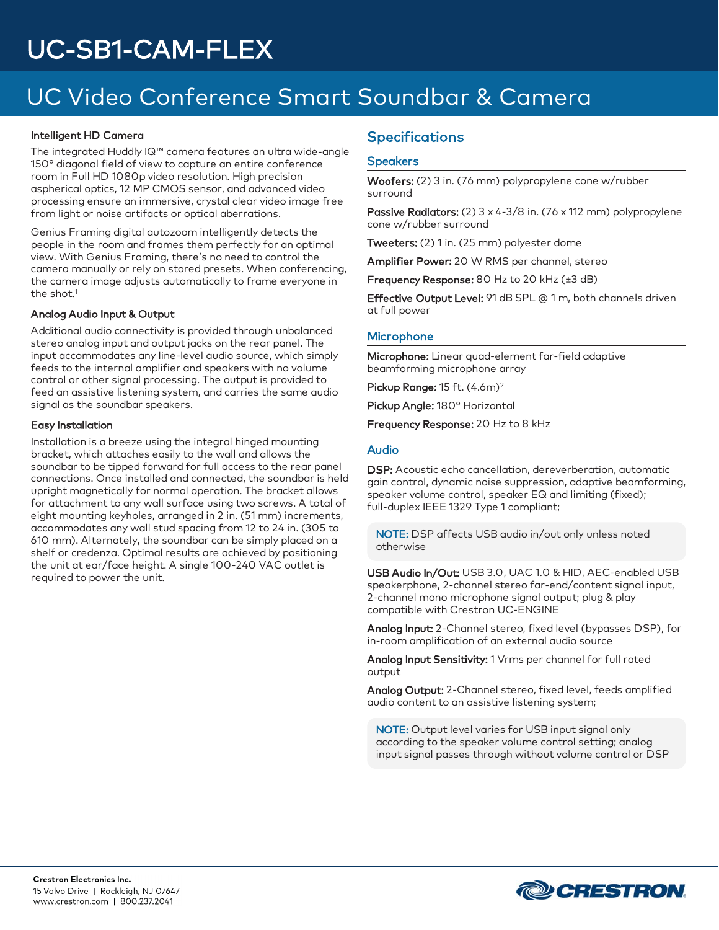## UC Video Conference Smart Soundbar & Camera

#### Intelligent HD Camera

The integrated Huddly IQ™ camera features an ultra wide-angle 150° diagonal field of view to capture an entire conference room in Full HD 1080p video resolution. High precision aspherical optics, 12 MP CMOS sensor, and advanced video processing ensure an immersive, crystal clear video image free from light or noise artifacts or optical aberrations.

Genius Framing digital autozoom intelligently detects the people in the room and frames them perfectly for an optimal view. With Genius Framing, there's no need to control the camera manually or rely on stored presets. When conferencing, the camera image adjusts automatically to frame everyone in the shot. $1$ 

#### Analog Audio Input & Output

Additional audio connectivity is provided through unbalanced stereo analog input and output jacks on the rear panel. The input accommodates any line-level audio source, which simply feeds to the internal amplifier and speakers with no volume control or other signal processing. The output is provided to feed an assistive listening system, and carries the same audio signal as the soundbar speakers.

#### Easy Installation

Installation is a breeze using the integral hinged mounting bracket, which attaches easily to the wall and allows the soundbar to be tipped forward for full access to the rear panel connections. Once installed and connected, the soundbar is held upright magnetically for normal operation. The bracket allows for attachment to any wall surface using two screws. A total of eight mounting keyholes, arranged in 2 in. (51 mm) increments, accommodates any wall stud spacing from 12 to 24 in. (305 to 610 mm). Alternately, the soundbar can be simply placed on a shelf or credenza. Optimal results are achieved by positioning the unit at ear/face height. A single 100-240 VAC outlet is required to power the unit.

### **Specifications**

#### **Speakers**

Woofers: (2) 3 in. (76 mm) polypropylene cone w/rubber surround

Passive Radiators: (2) 3 x 4-3/8 in. (76 x 112 mm) polypropylene cone w/rubber surround

Tweeters: (2) 1 in. (25 mm) polyester dome

Amplifier Power: 20 W RMS per channel, stereo

Frequency Response: 80 Hz to 20 kHz (±3 dB)

Effective Output Level: 91 dB SPL @ 1 m, both channels driven at full power

#### **Microphone**

Microphone: Linear quad-element far-field adaptive beamforming microphone array

Pickup Range: 15 ft. (4.6m)<sup>2</sup>

Pickup Angle: 180° Horizontal

Frequency Response: 20 Hz to 8 kHz

#### Audio

DSP: Acoustic echo cancellation, dereverberation, automatic gain control, dynamic noise suppression, adaptive beamforming, speaker volume control, speaker EQ and limiting (fixed); full-duplex IEEE 1329 Type 1 compliant;

NOTE: DSP affects USB audio in/out only unless noted otherwise

USB Audio In/Out: USB 3.0, UAC 1.0 & HID, AEC-enabled USB speakerphone, 2-channel stereo far-end/content signal input, 2-channel mono microphone signal output; plug & play compatible with Crestron UC-ENGINE

Analog Input: 2-Channel stereo, fixed level (bypasses DSP), for in-room amplification of an external audio source

Analog Input Sensitivity: 1 Vrms per channel for full rated output

Analog Output: 2-Channel stereo, fixed level, feeds amplified audio content to an assistive listening system;

NOTE: Output level varies for USB input signal only according to the speaker volume control setting; analog input signal passes through without volume control or DSP

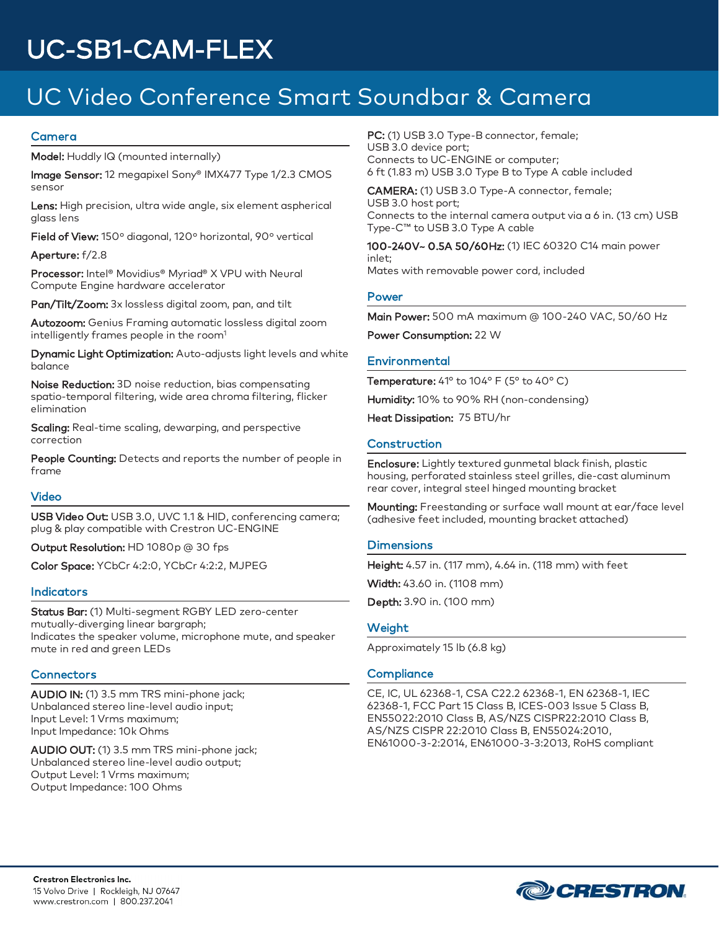## UC Video Conference Smart Soundbar & Camera

#### Camera

Model: Huddly IQ (mounted internally)

Image Sensor: 12 megapixel Sony® IMX477 Type 1/2.3 CMOS sensor

Lens: High precision, ultra wide angle, six element aspherical glass lens

Field of View: 150º diagonal, 120º horizontal, 90º vertical

Aperture: f/2.8

Processor: Intel® Movidius® Myriad® X VPU with Neural Compute Engine hardware accelerator

Pan/Tilt/Zoom: 3x lossless digital zoom, pan, and tilt

Autozoom: Genius Framing automatic lossless digital zoom intelligently frames people in the room<sup>1</sup>

Dynamic Light Optimization: Auto-adjusts light levels and white balance

Noise Reduction: 3D noise reduction, bias compensating spatio-temporal filtering, wide area chroma filtering, flicker elimination

Scaling: Real-time scaling, dewarping, and perspective correction

People Counting: Detects and reports the number of people in frame

#### Video

USB Video Out: USB 3.0, UVC 1.1 & HID, conferencing camera; plug & play compatible with Crestron UC-ENGINE

Output Resolution: HD 1080p @ 30 fps

Color Space: YCbCr 4:2:0, YCbCr 4:2:2, MJPEG

#### Indicators

Status Bar: (1) Multi-segment RGBY LED zero-center mutually-diverging linear bargraph; Indicates the speaker volume, microphone mute, and speaker mute in red and green LEDs

#### **Connectors**

AUDIO IN: (1) 3.5 mm TRS mini-phone jack; Unbalanced stereo line-level audio input; Input Level: 1 Vrms maximum; Input Impedance: 10k Ohms

AUDIO OUT: (1) 3.5 mm TRS mini-phone jack; Unbalanced stereo line-level audio output; Output Level: 1 Vrms maximum; Output Impedance: 100 Ohms

PC: (1) USB 3.0 Type-B connector, female; USB 3.0 device port; Connects to UC-ENGINE or computer; 6 ft (1.83 m) USB 3.0 Type B to Type A cable included

CAMERA: (1) USB 3.0 Type-A connector, female; USB 3.0 host port; Connects to the internal camera output via a 6 in. (13 cm) USB Type-C™ to USB 3.0 Type A cable

100-240V~ 0.5A 50/60Hz: (1) IEC 60320 C14 main power inlet; Mates with removable power cord, included

#### Power

Main Power: 500 mA maximum @ 100-240 VAC, 50/60 Hz

Power Consumption: 22 W

#### **Environmental**

Temperature: 41° to 104° F (5° to 40° C) Humidity: 10% to 90% RH (non-condensing)

Heat Dissipation: 75 BTU/hr

#### Construction

Enclosure: Lightly textured gunmetal black finish, plastic housing, perforated stainless steel grilles, die-cast aluminum rear cover, integral steel hinged mounting bracket

Mounting: Freestanding or surface wall mount at ear/face level (adhesive feet included, mounting bracket attached)

#### **Dimensions**

Height: 4.57 in. (117 mm), 4.64 in. (118 mm) with feet Width: 43.60 in. (1108 mm)

Depth: 3.90 in. (100 mm)

#### **Weight**

Approximately 15 lb (6.8 kg)

#### **Compliance**

CE, IC, UL 62368-1, CSA C22.2 62368-1, EN 62368-1, IEC 62368-1, FCC Part 15 Class B, ICES-003 Issue 5 Class B, EN55022:2010 Class B, AS/NZS CISPR22:2010 Class B, AS/NZS CISPR 22:2010 Class B, EN55024:2010, EN61000-3-2:2014, EN61000-3-3:2013, RoHS compliant

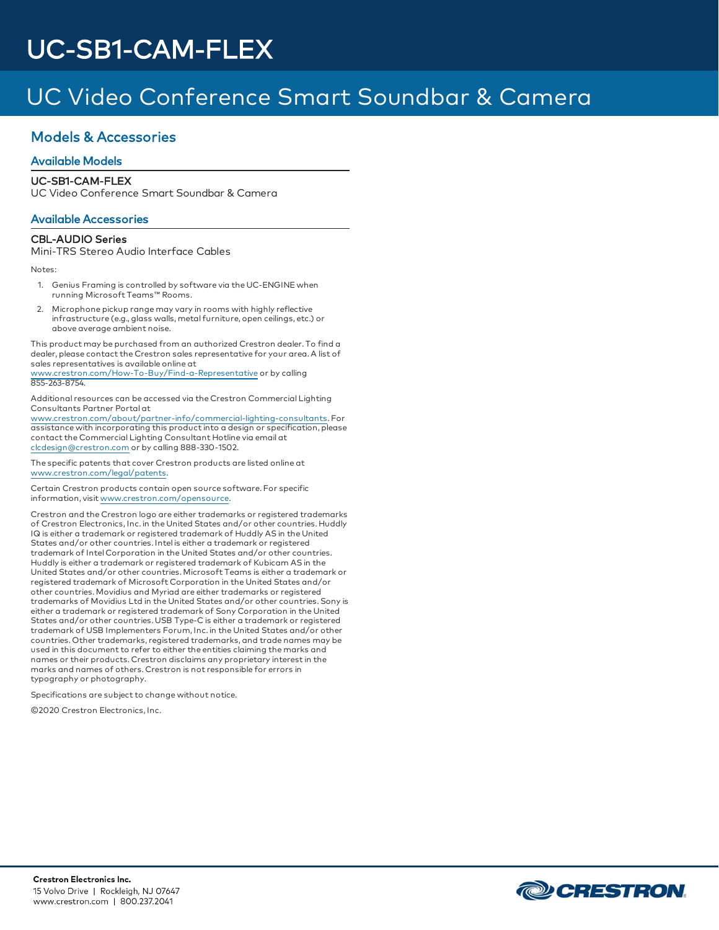## UC Video Conference Smart Soundbar & Camera

### Models & Accessories

### Available Models

### UC-SB1-CAM-FLEX

UC Video Conference Smart Soundbar & Camera

#### Available Accessories

#### CBL-AUDIO Series

Mini-TRS Stereo Audio Interface Cables

Notes:

- 1. Genius Framing is controlled by software via the UC-ENGINE when running Microsoft Teams™ Rooms.
- 2. Microphone pickup range may vary in rooms with highly reflective infrastructure (e.g., glass walls, metal furniture, open ceilings, etc.) or above average ambient noise.

This product may be purchased from an authorized Crestron dealer. To find a dealer, please contact the Crestron sales representative for your area. A list of sales representatives is available online at [www.crestron.com/How-To-Buy/Find-a-Representative](https://www.crestron.com/How-To-Buy/Find-a-Representative) or by calling

855-263-8754.

Additional resources can be accessed via the Crestron Commercial Lighting Consultants Partner Portal at

[www.crestron.com/about/partner-info/commercial-lighting-consultants](https://www.crestron.com/about/partner-info/commercial-lighting-consultants). For assistance with incorporating this product into a design or specification, please contact the Commercial Lighting Consultant Hotline via email at [clcdesign@crestron.com](mailto:clcdesign@crestron.com) or by calling 888-330-1502.

The specific patents that cover Crestron products are listed online at [www.crestron.com/legal/patents.](https://www.crestron.com/legal/patents)

Certain Crestron products contain open source software. For specific information, visit [www.crestron.com/opensource](https://www.crestron.com/legal/open-source-software).

Crestron and the Crestron logo are either trademarks or registered trademarks of Crestron Electronics, Inc. in the United States and/or other countries. Huddly IQ is either a trademark or registered trademark of Huddly AS in the United States and/or other countries. Intel is either a trademark or registered trademark of Intel Corporation in the United States and/or other countries. Huddly is either a trademark or registered trademark of Kubicam AS in the United States and/or other countries. Microsoft Teams is either a trademark or registered trademark of Microsoft Corporation in the United States and/or other countries. Movidius and Myriad are either trademarks or registered trademarks of Movidius Ltd in the United States and/or other countries. Sony is either a trademark or registered trademark of Sony Corporation in the United States and/or other countries. USB Type-C is either a trademark or registered trademark of USB Implementers Forum, Inc. in the United States and/or other countries. Other trademarks, registered trademarks, and trade names may be used in this document to refer to either the entities claiming the marks and names or their products. Crestron disclaims any proprietary interest in the marks and names of others. Crestron is not responsible for errors in typography or photography.

Specifications are subject to change without notice.

©2020 Crestron Electronics, Inc.